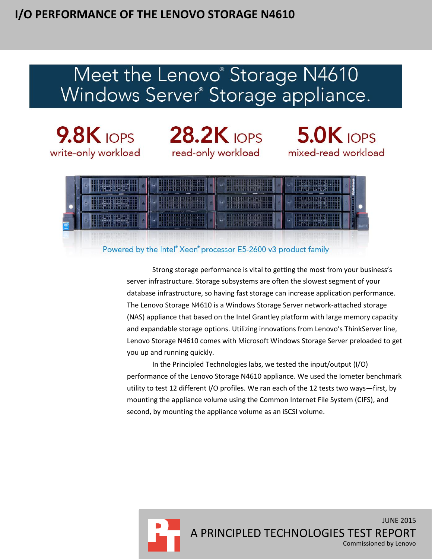# Meet the Lenovo<sup>®</sup> Storage N4610 Windows Server<sup>®</sup> Storage appliance.



9.8K IOPS 28.2K IOPS 5.0K IOPS

mixed-read workload



#### Powered by the Intel® Xeon® processor E5-2600 v3 product family

Strong storage performance is vital to getting the most from your business's server infrastructure. Storage subsystems are often the slowest segment of your database infrastructure, so having fast storage can increase application performance. The Lenovo Storage N4610 is a Windows Storage Server network-attached storage (NAS) appliance that based on the Intel Grantley platform with large memory capacity and expandable storage options. Utilizing innovations from Lenovo's ThinkServer line, Lenovo Storage N4610 comes with Microsoft Windows Storage Server preloaded to get you up and running quickly.

In the Principled Technologies labs, we tested the input/output (I/O) performance of the Lenovo Storage N4610 appliance. We used the Iometer benchmark utility to test 12 different I/O profiles. We ran each of the 12 tests two ways—first, by mounting the appliance volume using the Common Internet File System (CIFS), and second, by mounting the appliance volume as an iSCSI volume.

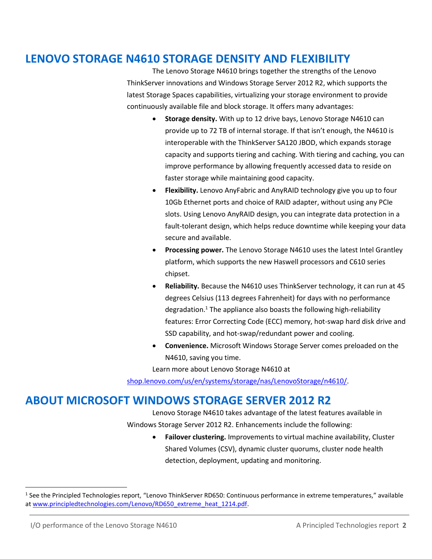### **LENOVO STORAGE N4610 STORAGE DENSITY AND FLEXIBILITY**

The Lenovo Storage N4610 brings together the strengths of the Lenovo ThinkServer innovations and Windows Storage Server 2012 R2, which supports the latest Storage Spaces capabilities, virtualizing your storage environment to provide continuously available file and block storage. It offers many advantages:

- **Storage density.** With up to 12 drive bays, Lenovo Storage N4610 can provide up to 72 TB of internal storage. If that isn't enough, the N4610 is interoperable with the ThinkServer SA120 JBOD, which expands storage capacity and supports tiering and caching. With tiering and caching, you can improve performance by allowing frequently accessed data to reside on faster storage while maintaining good capacity.
- **Flexibility.** Lenovo AnyFabric and AnyRAID technology give you up to four 10Gb Ethernet ports and choice of RAID adapter, without using any PCIe slots. Using Lenovo AnyRAID design, you can integrate data protection in a fault-tolerant design, which helps reduce downtime while keeping your data secure and available.
- **Processing power.** The Lenovo Storage N4610 uses the latest Intel Grantley platform, which supports the new Haswell processors and C610 series chipset.
- **Reliability.** Because the N4610 uses ThinkServer technology, it can run at 45 degrees Celsius (113 degrees Fahrenheit) for days with no performance degradation. <sup>1</sup> The appliance also boasts the following high-reliability features: Error Correcting Code (ECC) memory, hot-swap hard disk drive and SSD capability, and hot-swap/redundant power and cooling.
- **Convenience.** Microsoft Windows Storage Server comes preloaded on the N4610, saving you time.

Learn more about Lenovo Storage N4610 at

[shop.lenovo.com/us/en/systems/storage/nas/LenovoStorage/n4610/.](http://shop.lenovo.com/us/en/systems/storage/nas/lenovostorage/n4610/)

### **ABOUT MICROSOFT WINDOWS STORAGE SERVER 2012 R2**

Lenovo Storage N4610 takes advantage of the latest features available in Windows Storage Server 2012 R2. Enhancements include the following:

> **Failover clustering.** Improvements to virtual machine availability, Cluster Shared Volumes (CSV), dynamic cluster quorums, cluster node health detection, deployment, updating and monitoring.

l

<sup>&</sup>lt;sup>1</sup> See the Principled Technologies report, "Lenovo ThinkServer RD650: Continuous performance in extreme temperatures," available a[t www.principledtechnologies.com/Lenovo/RD650\\_extreme\\_heat\\_1214.pdf.](http://www.principledtechnologies.com/Lenovo/RD650_extreme_heat_1214.pdf)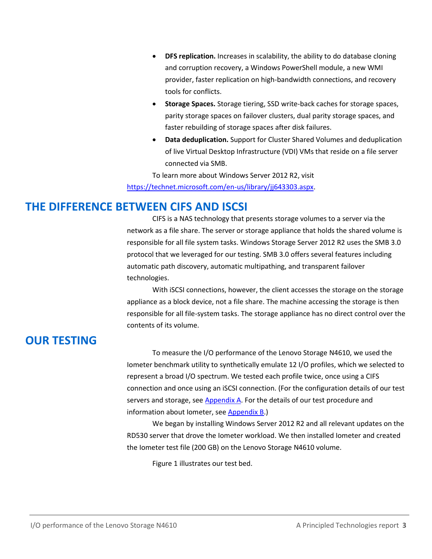- **DFS replication.** Increases in scalability, the ability to do database cloning and corruption recovery, a Windows PowerShell module, a new WMI provider, faster replication on high-bandwidth connections, and recovery tools for conflicts.
- **Storage Spaces.** Storage tiering, SSD write-back caches for storage spaces, parity storage spaces on failover clusters, dual parity storage spaces, and faster rebuilding of storage spaces after disk failures.
- **Data deduplication.** Support for Cluster Shared Volumes and deduplication of live Virtual Desktop Infrastructure (VDI) VMs that reside on a file server connected via SMB.

To learn more about Windows Server 2012 R2, visit [https://technet.microsoft.com/en-us/library/jj643303.aspx.](https://technet.microsoft.com/en-us/library/jj643303.aspx)

### **THE DIFFERENCE BETWEEN CIFS AND ISCSI**

CIFS is a NAS technology that presents storage volumes to a server via the network as a file share. The server or storage appliance that holds the shared volume is responsible for all file system tasks. Windows Storage Server 2012 R2 uses the SMB 3.0 protocol that we leveraged for our testing. SMB 3.0 offers several features including automatic path discovery, automatic multipathing, and transparent failover technologies.

With iSCSI connections, however, the client accesses the storage on the storage appliance as a block device, not a file share. The machine accessing the storage is then responsible for all file-system tasks. The storage appliance has no direct control over the contents of its volume.

# **OUR TESTING**

To measure the I/O performance of the Lenovo Storage N4610, we used the Iometer benchmark utility to synthetically emulate 12 I/O profiles, which we selected to represent a broad I/O spectrum. We tested each profile twice, once using a CIFS connection and once using an iSCSI connection. (For the configuration details of our test servers and storage, se[e Appendix A.](#page-9-0) For the details of our test procedure and information about Iometer, see [Appendix B.](#page-11-0))

We began by installing Windows Server 2012 R2 and all relevant updates on the RD530 server that drove the Iometer workload. We then installed Iometer and created the Iometer test file (200 GB) on the Lenovo Storage N4610 volume.

Figure 1 illustrates our test bed.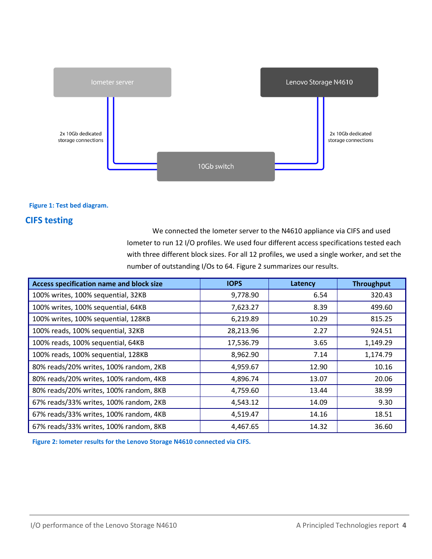

#### **Figure 1: Test bed diagram.**

#### **CIFS testing**

We connected the Iometer server to the N4610 appliance via CIFS and used Iometer to run 12 I/O profiles. We used four different access specifications tested each with three different block sizes. For all 12 profiles, we used a single worker, and set the number of outstanding I/Os to 64. Figure 2 summarizes our results.

| Access specification name and block size | <b>IOPS</b> | Latency | <b>Throughput</b> |
|------------------------------------------|-------------|---------|-------------------|
| 100% writes, 100% sequential, 32KB       | 9,778.90    | 6.54    | 320.43            |
| 100% writes, 100% sequential, 64KB       | 7,623.27    | 8.39    | 499.60            |
| 100% writes, 100% sequential, 128KB      | 6,219.89    | 10.29   | 815.25            |
| 100% reads, 100% sequential, 32KB        | 28,213.96   | 2.27    | 924.51            |
| 100% reads, 100% sequential, 64KB        | 17,536.79   | 3.65    | 1,149.29          |
| 100% reads, 100% sequential, 128KB       | 8,962.90    | 7.14    | 1,174.79          |
| 80% reads/20% writes, 100% random, 2KB   | 4,959.67    | 12.90   | 10.16             |
| 80% reads/20% writes, 100% random, 4KB   | 4,896.74    | 13.07   | 20.06             |
| 80% reads/20% writes, 100% random, 8KB   | 4,759.60    | 13.44   | 38.99             |
| 67% reads/33% writes, 100% random, 2KB   | 4,543.12    | 14.09   | 9.30              |
| 67% reads/33% writes, 100% random, 4KB   | 4,519.47    | 14.16   | 18.51             |
| 67% reads/33% writes, 100% random, 8KB   | 4,467.65    | 14.32   | 36.60             |

**Figure 2: Iometer results for the Lenovo Storage N4610 connected via CIFS.**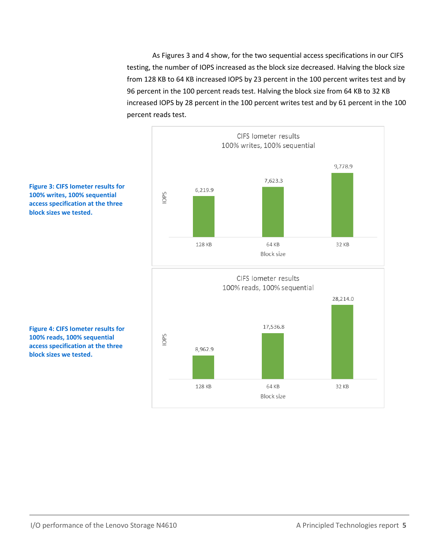As Figures 3 and 4 show, for the two sequential access specifications in our CIFS testing, the number of IOPS increased as the block size decreased. Halving the block size from 128 KB to 64 KB increased IOPS by 23 percent in the 100 percent writes test and by 96 percent in the 100 percent reads test. Halving the block size from 64 KB to 32 KB increased IOPS by 28 percent in the 100 percent writes test and by 61 percent in the 100 percent reads test.



**Figure 3: CIFS Iometer results for 100% writes, 100% sequential access specification at the three block sizes we tested.**

**Figure 4: CIFS Iometer results for 100% reads, 100% sequential access specification at the three block sizes we tested.**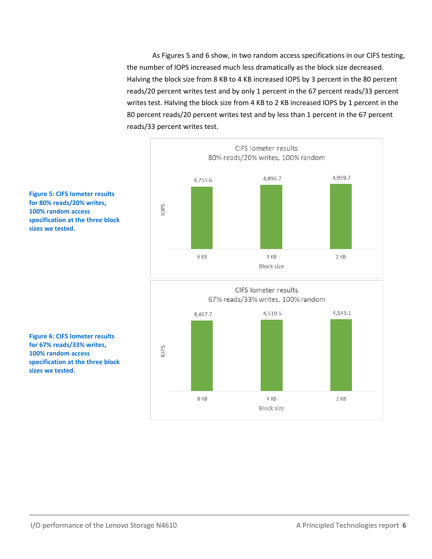As Figures 5 and 6 show, in two random access specifications in our CIFS testing, the number of IOPS increased much less dramatically as the block size decreased. Halving the block size from 8 KB to 4 KB increased IOPS by 3 percent in the 80 percent reads/20 percent writes test and by only 1 percent in the 67 percent reads/33 percent writes test. Halving the block size from 4 KB to 2 KB increased IOPS by 1 percent in the 80 percent reads/20 percent writes test and by less than 1 percent in the 67 percent reads/33 percent writes test.



**Figure 5: CIFS Iometer results for 80% reads/20% writes, 100% random access specification at the three block sizes we tested.**

**Figure 6: CIFS Iometer results for 67% reads/33% writes, 100% random access specification at the three block sizes we tested.**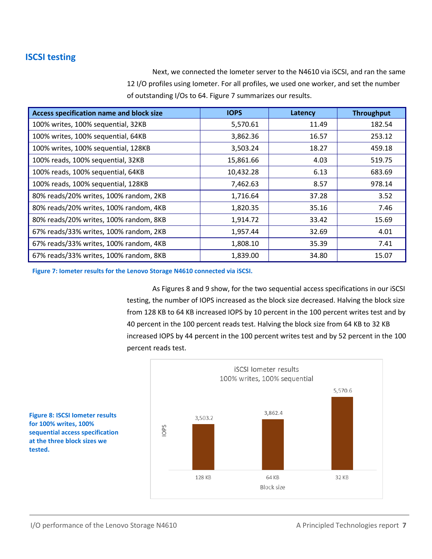#### **ISCSI testing**

Next, we connected the Iometer server to the N4610 via iSCSI, and ran the same 12 I/O profiles using Iometer. For all profiles, we used one worker, and set the number of outstanding I/Os to 64. Figure 7 summarizes our results.

| Access specification name and block size | <b>IOPS</b> | Latency | <b>Throughput</b> |
|------------------------------------------|-------------|---------|-------------------|
| 100% writes, 100% sequential, 32KB       | 5,570.61    | 11.49   | 182.54            |
| 100% writes, 100% sequential, 64KB       | 3,862.36    | 16.57   | 253.12            |
| 100% writes, 100% sequential, 128KB      | 3,503.24    | 18.27   | 459.18            |
| 100% reads, 100% sequential, 32KB        | 15,861.66   | 4.03    | 519.75            |
| 100% reads, 100% sequential, 64KB        | 10,432.28   | 6.13    | 683.69            |
| 100% reads, 100% sequential, 128KB       | 7,462.63    | 8.57    | 978.14            |
| 80% reads/20% writes, 100% random, 2KB   | 1,716.64    | 37.28   | 3.52              |
| 80% reads/20% writes, 100% random, 4KB   | 1,820.35    | 35.16   | 7.46              |
| 80% reads/20% writes, 100% random, 8KB   | 1,914.72    | 33.42   | 15.69             |
| 67% reads/33% writes, 100% random, 2KB   | 1,957.44    | 32.69   | 4.01              |
| 67% reads/33% writes, 100% random, 4KB   | 1,808.10    | 35.39   | 7.41              |
| 67% reads/33% writes, 100% random, 8KB   | 1,839.00    | 34.80   | 15.07             |

**Figure 7: Iometer results for the Lenovo Storage N4610 connected via iSCSI.** 

As Figures 8 and 9 show, for the two sequential access specifications in our iSCSI testing, the number of IOPS increased as the block size decreased. Halving the block size from 128 KB to 64 KB increased IOPS by 10 percent in the 100 percent writes test and by 40 percent in the 100 percent reads test. Halving the block size from 64 KB to 32 KB increased IOPS by 44 percent in the 100 percent writes test and by 52 percent in the 100 percent reads test.



**Figure 8: ISCSI Iometer results for 100% writes, 100% sequential access specification at the three block sizes we tested.**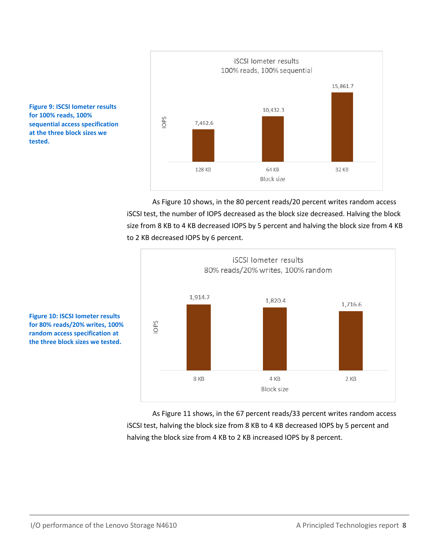

As Figure 10 shows, in the 80 percent reads/20 percent writes random access iSCSI test, the number of IOPS decreased as the block size decreased. Halving the block size from 8 KB to 4 KB decreased IOPS by 5 percent and halving the block size from 4 KB to 2 KB decreased IOPS by 6 percent.



**Figure 10: ISCSI Iometer results for 80% reads/20% writes, 100% random access specification at the three block sizes we tested.**

**Figure 9: ISCSI Iometer results** 

**sequential access specification at the three block sizes we** 

**for 100% reads, 100%** 

**tested.**

As Figure 11 shows, in the 67 percent reads/33 percent writes random access iSCSI test, halving the block size from 8 KB to 4 KB decreased IOPS by 5 percent and halving the block size from 4 KB to 2 KB increased IOPS by 8 percent.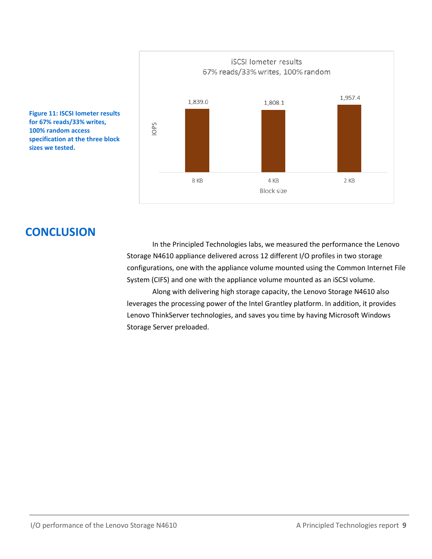

**Figure 11: ISCSI Iometer results for 67% reads/33% writes, 100% random access specification at the three block sizes we tested.**

## **CONCLUSION**

In the Principled Technologies labs, we measured the performance the Lenovo Storage N4610 appliance delivered across 12 different I/O profiles in two storage configurations, one with the appliance volume mounted using the Common Internet File System (CIFS) and one with the appliance volume mounted as an iSCSI volume.

Along with delivering high storage capacity, the Lenovo Storage N4610 also leverages the processing power of the Intel Grantley platform. In addition, it provides Lenovo ThinkServer technologies, and saves you time by having Microsoft Windows Storage Server preloaded.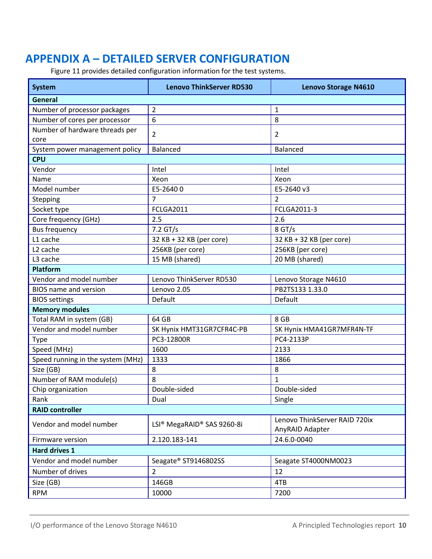# <span id="page-9-0"></span>**APPENDIX A – DETAILED SERVER CONFIGURATION**

Figure 11 provides detailed configuration information for the test systems.

| <b>System</b>                     | <b>Lenovo ThinkServer RD530</b>                    | <b>Lenovo Storage N4610</b>                      |  |  |
|-----------------------------------|----------------------------------------------------|--------------------------------------------------|--|--|
| General                           |                                                    |                                                  |  |  |
| Number of processor packages      | 2                                                  | 1                                                |  |  |
| Number of cores per processor     | 6                                                  | 8                                                |  |  |
| Number of hardware threads per    | $\overline{2}$                                     | 2                                                |  |  |
| core                              |                                                    |                                                  |  |  |
| System power management policy    | <b>Balanced</b>                                    | <b>Balanced</b>                                  |  |  |
| <b>CPU</b>                        |                                                    |                                                  |  |  |
| Vendor                            | Intel                                              | Intel                                            |  |  |
| Name                              | Xeon                                               | Xeon                                             |  |  |
| Model number                      | E5-26400                                           | E5-2640 v3                                       |  |  |
| Stepping                          | 7                                                  | $\overline{2}$                                   |  |  |
| Socket type                       | <b>FCLGA2011</b>                                   | FCLGA2011-3                                      |  |  |
| Core frequency (GHz)              | 2.5                                                | 2.6                                              |  |  |
| <b>Bus frequency</b>              | 7.2 GT/s                                           | $8$ GT/s                                         |  |  |
| L1 cache                          | 32 KB + 32 KB (per core)                           | 32 KB + 32 KB (per core)                         |  |  |
| L <sub>2</sub> cache              | 256KB (per core)                                   | 256KB (per core)                                 |  |  |
| L3 cache                          | 15 MB (shared)                                     | 20 MB (shared)                                   |  |  |
| Platform                          |                                                    |                                                  |  |  |
| Vendor and model number           | Lenovo ThinkServer RD530                           | Lenovo Storage N4610                             |  |  |
| <b>BIOS</b> name and version      | Lenovo 2.05                                        | PB2TS133 1.33.0                                  |  |  |
| <b>BIOS settings</b>              | Default                                            | Default                                          |  |  |
| <b>Memory modules</b>             |                                                    |                                                  |  |  |
| Total RAM in system (GB)          | 64 GB                                              | 8 GB                                             |  |  |
| Vendor and model number           | SK Hynix HMT31GR7CFR4C-PB                          | SK Hynix HMA41GR7MFR4N-TF                        |  |  |
| <b>Type</b>                       | PC3-12800R                                         | PC4-2133P                                        |  |  |
| Speed (MHz)                       | 1600                                               | 2133                                             |  |  |
| Speed running in the system (MHz) | 1333                                               | 1866                                             |  |  |
| Size (GB)                         | 8                                                  | 8                                                |  |  |
| Number of RAM module(s)           | 8                                                  | 1                                                |  |  |
| Chip organization                 | Double-sided                                       | Double-sided                                     |  |  |
| Rank                              | Dual                                               | Single                                           |  |  |
| <b>RAID controller</b>            |                                                    |                                                  |  |  |
| Vendor and model number           | LSI <sup>®</sup> MegaRAID <sup>®</sup> SAS 9260-8i | Lenovo ThinkServer RAID 720ix<br>AnyRAID Adapter |  |  |
| Firmware version                  | 2.120.183-141                                      | 24.6.0-0040                                      |  |  |
| <b>Hard drives 1</b>              |                                                    |                                                  |  |  |
| Vendor and model number           | Seagate® ST9146802SS                               | Seagate ST4000NM0023                             |  |  |
| Number of drives                  | $\overline{2}$                                     | 12                                               |  |  |
| Size (GB)                         | 146GB                                              | 4TB                                              |  |  |
|                                   |                                                    |                                                  |  |  |
| <b>RPM</b>                        | 10000                                              | 7200                                             |  |  |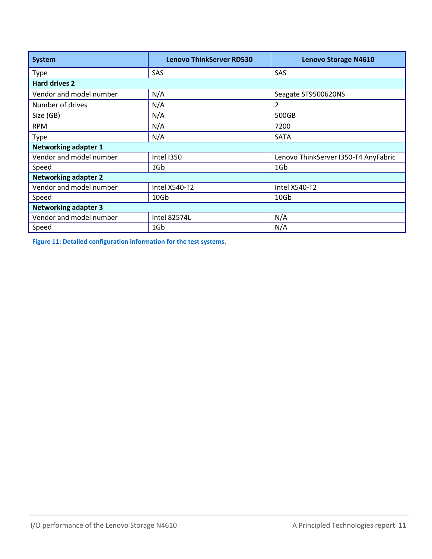| <b>System</b>               | <b>Lenovo ThinkServer RD530</b> | <b>Lenovo Storage N4610</b>          |  |  |
|-----------------------------|---------------------------------|--------------------------------------|--|--|
| <b>Type</b>                 | SAS                             | SAS                                  |  |  |
| Hard drives 2               |                                 |                                      |  |  |
| Vendor and model number     | N/A                             | Seagate ST9500620NS                  |  |  |
| Number of drives            | N/A                             | 2                                    |  |  |
| Size (GB)                   | N/A                             | 500GB                                |  |  |
| <b>RPM</b>                  | N/A                             | 7200                                 |  |  |
| <b>Type</b>                 | N/A                             | SATA                                 |  |  |
| <b>Networking adapter 1</b> |                                 |                                      |  |  |
| Vendor and model number     | <b>Intel I350</b>               | Lenovo ThinkServer I350-T4 AnyFabric |  |  |
| Speed                       | 1G <sub>b</sub>                 | 1G <sub>b</sub>                      |  |  |
| <b>Networking adapter 2</b> |                                 |                                      |  |  |
| Vendor and model number     | Intel X540-T2                   | Intel X540-T2                        |  |  |
| Speed                       | 10Gb                            | 10 <sub>6</sub>                      |  |  |
| <b>Networking adapter 3</b> |                                 |                                      |  |  |
| Vendor and model number     | <b>Intel 82574L</b>             | N/A                                  |  |  |
| Speed                       | 1G <sub>b</sub>                 | N/A                                  |  |  |

**Figure 11: Detailed configuration information for the test systems.**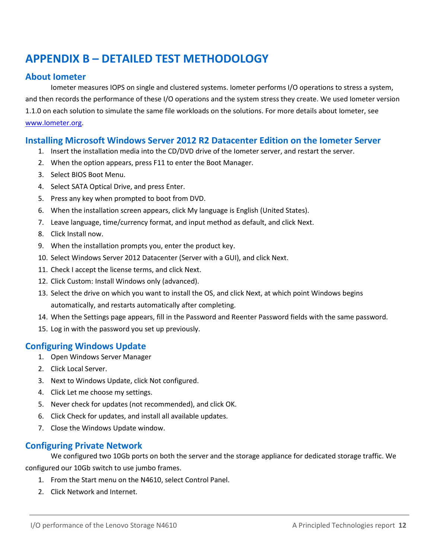# <span id="page-11-0"></span>**APPENDIX B – DETAILED TEST METHODOLOGY**

#### **About Iometer**

Iometer measures IOPS on single and clustered systems. Iometer performs I/O operations to stress a system, and then records the performance of these I/O operations and the system stress they create. We used Iometer version 1.1.0 on each solution to simulate the same file workloads on the solutions. For more details about Iometer, see [www.Iometer.org.](http://www.iometer.org/)

#### **Installing Microsoft Windows Server 2012 R2 Datacenter Edition on the Iometer Server**

- 1. Insert the installation media into the CD/DVD drive of the Iometer server, and restart the server.
- 2. When the option appears, press F11 to enter the Boot Manager.
- 3. Select BIOS Boot Menu.
- 4. Select SATA Optical Drive, and press Enter.
- 5. Press any key when prompted to boot from DVD.
- 6. When the installation screen appears, click My language is English (United States).
- 7. Leave language, time/currency format, and input method as default, and click Next.
- 8. Click Install now.
- 9. When the installation prompts you, enter the product key.
- 10. Select Windows Server 2012 Datacenter (Server with a GUI), and click Next.
- 11. Check I accept the license terms, and click Next.
- 12. Click Custom: Install Windows only (advanced).
- 13. Select the drive on which you want to install the OS, and click Next, at which point Windows begins automatically, and restarts automatically after completing.
- 14. When the Settings page appears, fill in the Password and Reenter Password fields with the same password.
- 15. Log in with the password you set up previously.

#### **Configuring Windows Update**

- 1. Open Windows Server Manager
- 2. Click Local Server.
- 3. Next to Windows Update, click Not configured.
- 4. Click Let me choose my settings.
- 5. Never check for updates (not recommended), and click OK.
- 6. Click Check for updates, and install all available updates.
- 7. Close the Windows Update window.

#### **Configuring Private Network**

We configured two 10Gb ports on both the server and the storage appliance for dedicated storage traffic. We configured our 10Gb switch to use jumbo frames.

- 1. From the Start menu on the N4610, select Control Panel.
- 2. Click Network and Internet.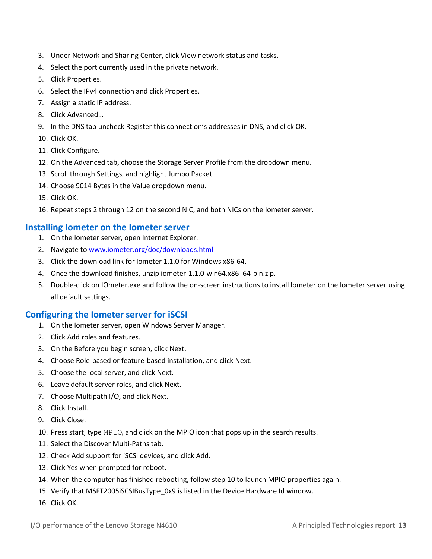- 3. Under Network and Sharing Center, click View network status and tasks.
- 4. Select the port currently used in the private network.
- 5. Click Properties.
- 6. Select the IPv4 connection and click Properties.
- 7. Assign a static IP address.
- 8. Click Advanced…
- 9. In the DNS tab uncheck Register this connection's addresses in DNS, and click OK.
- 10. Click OK.
- 11. Click Configure.
- 12. On the Advanced tab, choose the Storage Server Profile from the dropdown menu.
- 13. Scroll through Settings, and highlight Jumbo Packet.
- 14. Choose 9014 Bytes in the Value dropdown menu.
- 15. Click OK.
- 16. Repeat steps 2 through 12 on the second NIC, and both NICs on the Iometer server.

#### **Installing Iometer on the Iometer server**

- 1. On the Iometer server, open Internet Explorer.
- 2. Navigate to [www.iometer.org/doc/downloads.html](http://www.iometer.org/doc/downloads.html)
- 3. Click the download link for Iometer 1.1.0 for Windows x86-64.
- 4. Once the download finishes, unzip iometer-1.1.0-win64.x86\_64-bin.zip.
- 5. Double-click on IOmeter.exe and follow the on-screen instructions to install Iometer on the Iometer server using all default settings.

#### **Configuring the Iometer server for iSCSI**

- 1. On the Iometer server, open Windows Server Manager.
- 2. Click Add roles and features.
- 3. On the Before you begin screen, click Next.
- 4. Choose Role-based or feature-based installation, and click Next.
- 5. Choose the local server, and click Next.
- 6. Leave default server roles, and click Next.
- 7. Choose Multipath I/O, and click Next.
- 8. Click Install.
- 9. Click Close.
- 10. Press start, type MPIO, and click on the MPIO icon that pops up in the search results.
- 11. Select the Discover Multi-Paths tab.
- 12. Check Add support for iSCSI devices, and click Add.
- 13. Click Yes when prompted for reboot.
- 14. When the computer has finished rebooting, follow step 10 to launch MPIO properties again.
- 15. Verify that MSFT2005iSCSIBusType\_0x9 is listed in the Device Hardware Id window.
- 16. Click OK.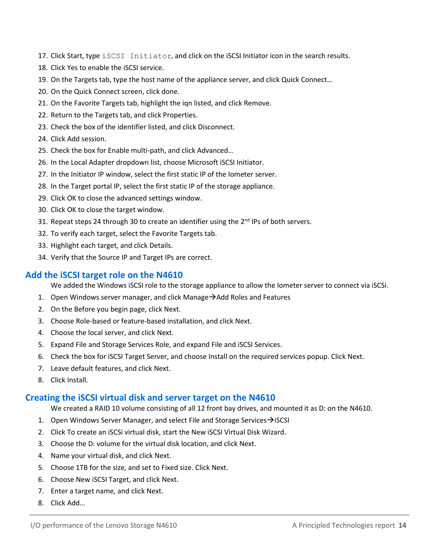- 17. Click Start, type iSCSI Initiator, and click on the iSCSI Initiator icon in the search results.
- 18. Click Yes to enable the iSCSI service.
- 19. On the Targets tab, type the host name of the appliance server, and click Quick Connect…
- 20. On the Quick Connect screen, click done.
- 21. On the Favorite Targets tab, highlight the iqn listed, and click Remove.
- 22. Return to the Targets tab, and click Properties.
- 23. Check the box of the identifier listed, and click Disconnect.
- 24. Click Add session.
- 25. Check the box for Enable multi-path, and click Advanced…
- 26. In the Local Adapter dropdown list, choose Microsoft iSCSI Initiator.
- 27. In the Initiator IP window, select the first static IP of the Iometer server.
- 28. In the Target portal IP, select the first static IP of the storage appliance.
- 29. Click OK to close the advanced settings window.
- 30. Click OK to close the target window.
- 31. Repeat steps 24 through 30 to create an identifier using the 2<sup>nd</sup> IPs of both servers.
- 32. To verify each target, select the Favorite Targets tab.
- 33. Highlight each target, and click Details.
- 34. Verify that the Source IP and Target IPs are correct.

#### **Add the iSCSI target role on the N4610**

We added the Windows iSCSI role to the storage appliance to allow the Iometer server to connect via iSCSi.

- 1. Open Windows server manager, and click Manage $\rightarrow$  Add Roles and Features
- 2. On the Before you begin page, click Next.
- 3. Choose Role-based or feature-based installation, and click Next.
- 4. Choose the local server, and click Next.
- 5. Expand File and Storage Services Role, and expand File and iSCSI Services.
- 6. Check the box for iSCSI Target Server, and choose Install on the required services popup. Click Next.
- 7. Leave default features, and click Next.
- 8. Click Install.

#### **Creating the iSCSI virtual disk and server target on the N4610**

We created a RAID 10 volume consisting of all 12 front bay drives, and mounted it as D: on the N4610.

- 1. Open Windows Server Manager, and select File and Storage Services  $\rightarrow$  ISCSI
- 2. Click To create an iSCSi virtual disk, start the New iSCSI Virtual Disk Wizard.
- 3. Choose the D: volume for the virtual disk location, and click Next.
- 4. Name your virtual disk, and click Next.
- 5. Choose 1TB for the size, and set to Fixed size. Click Next.
- 6. Choose New iSCSI Target, and click Next.
- 7. Enter a target name, and click Next.
- 8. Click Add…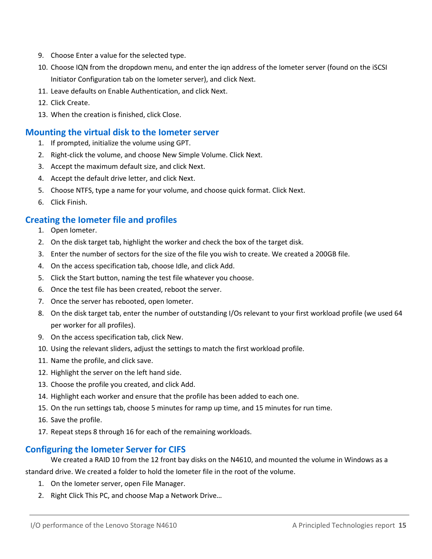- 9. Choose Enter a value for the selected type.
- 10. Choose IQN from the dropdown menu, and enter the iqn address of the Iometer server (found on the iSCSI Initiator Configuration tab on the Iometer server), and click Next.
- 11. Leave defaults on Enable Authentication, and click Next.
- 12. Click Create.
- 13. When the creation is finished, click Close.

#### **Mounting the virtual disk to the Iometer server**

- 1. If prompted, initialize the volume using GPT.
- 2. Right-click the volume, and choose New Simple Volume. Click Next.
- 3. Accept the maximum default size, and click Next.
- 4. Accept the default drive letter, and click Next.
- 5. Choose NTFS, type a name for your volume, and choose quick format. Click Next.
- 6. Click Finish.

#### **Creating the Iometer file and profiles**

- 1. Open Iometer.
- 2. On the disk target tab, highlight the worker and check the box of the target disk.
- 3. Enter the number of sectors for the size of the file you wish to create. We created a 200GB file.
- 4. On the access specification tab, choose Idle, and click Add.
- 5. Click the Start button, naming the test file whatever you choose.
- 6. Once the test file has been created, reboot the server.
- 7. Once the server has rebooted, open Iometer.
- 8. On the disk target tab, enter the number of outstanding I/Os relevant to your first workload profile (we used 64 per worker for all profiles).
- 9. On the access specification tab, click New.
- 10. Using the relevant sliders, adjust the settings to match the first workload profile.
- 11. Name the profile, and click save.
- 12. Highlight the server on the left hand side.
- 13. Choose the profile you created, and click Add.
- 14. Highlight each worker and ensure that the profile has been added to each one.
- 15. On the run settings tab, choose 5 minutes for ramp up time, and 15 minutes for run time.
- 16. Save the profile.
- 17. Repeat steps 8 through 16 for each of the remaining workloads.

#### **Configuring the Iometer Server for CIFS**

We created a RAID 10 from the 12 front bay disks on the N4610, and mounted the volume in Windows as a standard drive. We created a folder to hold the Iometer file in the root of the volume.

- 1. On the Iometer server, open File Manager.
- 2. Right Click This PC, and choose Map a Network Drive…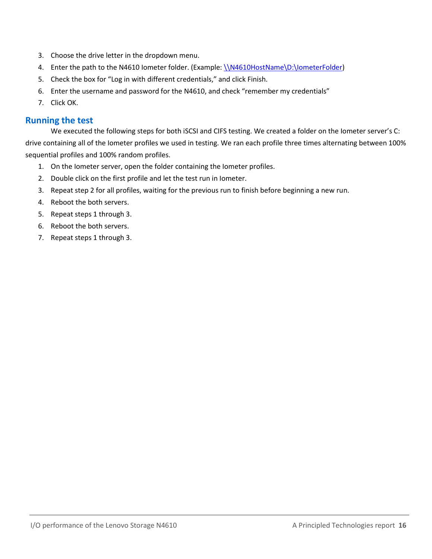- 3. Choose the drive letter in the dropdown menu.
- 4. Enter the path to the N4610 Iometer folder. (Example: [\\N4610HostName\D:\IometerFolder\)](file://N4610HostNameD:/IometerFolder)
- 5. Check the box for "Log in with different credentials," and click Finish.
- 6. Enter the username and password for the N4610, and check "remember my credentials"
- 7. Click OK.

#### **Running the test**

We executed the following steps for both iSCSI and CIFS testing. We created a folder on the Iometer server's C: drive containing all of the Iometer profiles we used in testing. We ran each profile three times alternating between 100% sequential profiles and 100% random profiles.

- 1. On the Iometer server, open the folder containing the Iometer profiles.
- 2. Double click on the first profile and let the test run in Iometer.
- 3. Repeat step 2 for all profiles, waiting for the previous run to finish before beginning a new run.
- 4. Reboot the both servers.
- 5. Repeat steps 1 through 3.
- 6. Reboot the both servers.
- 7. Repeat steps 1 through 3.